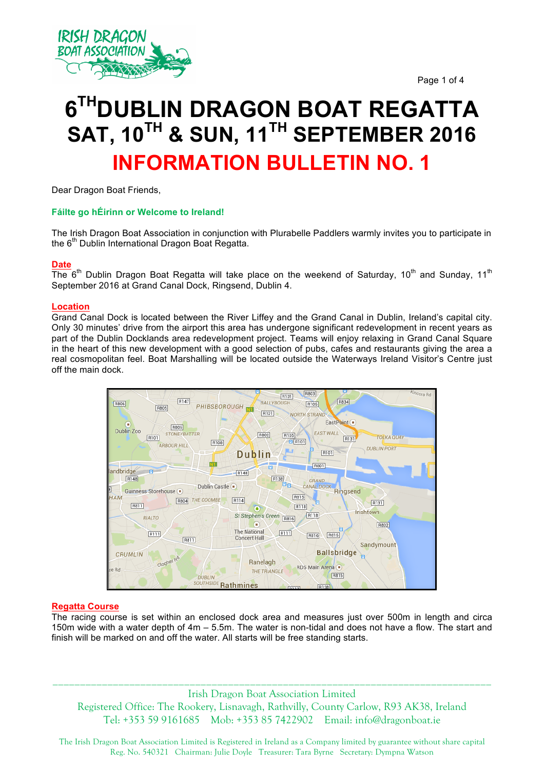



# **6THDUBLIN DRAGON BOAT REGATTA SAT, 10TH & SUN, 11TH SEPTEMBER 2016 INFORMATION BULLETIN NO. 1**

Dear Dragon Boat Friends,

# **Fáilte go hÉirinn or Welcome to Ireland!**

The Irish Dragon Boat Association in conjunction with Plurabelle Paddlers warmly invites you to participate in the  $6<sup>m</sup>$  Dublin International Dragon Boat Regatta.

## **Date**

The  $6<sup>th</sup>$  Dublin Dragon Boat Regatta will take place on the weekend of Saturday, 10<sup>th</sup> and Sunday, 11<sup>th</sup> September 2016 at Grand Canal Dock, Ringsend, Dublin 4.

## **Location**

Grand Canal Dock is located between the River Liffey and the Grand Canal in Dublin, Ireland's capital city. Only 30 minutes' drive from the airport this area has undergone significant redevelopment in recent years as part of the Dublin Docklands area redevelopment project. Teams will enjoy relaxing in Grand Canal Square in the heart of this new development with a good selection of pubs, cafes and restaurants giving the area a real cosmopolitan feel. Boat Marshalling will be located outside the Waterways Ireland Visitor's Centre just off the main dock.



## **Regatta Course**

The racing course is set within an enclosed dock area and measures just over 500m in length and circa 150m wide with a water depth of 4m – 5.5m. The water is non-tidal and does not have a flow. The start and finish will be marked on and off the water. All starts will be free standing starts.

Irish Dragon Boat Association Limited Registered Office: The Rookery, Lisnavagh, Rathvilly, County Carlow, R93 AK38, Ireland Tel: +353 59 9161685 Mob: +353 85 7422902 Email: info@dragonboat.ie

\_\_\_\_\_\_\_\_\_\_\_\_\_\_\_\_\_\_\_\_\_\_\_\_\_\_\_\_\_\_\_\_\_\_\_\_\_\_\_\_\_\_\_\_\_\_\_\_\_\_\_\_\_\_\_\_\_\_\_\_\_\_\_\_\_\_\_\_\_\_\_\_\_\_\_\_\_\_\_\_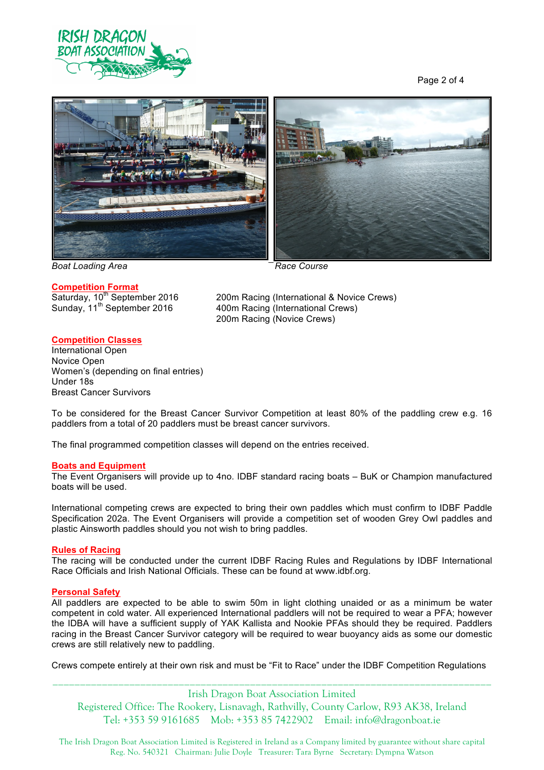

Page 2 of 4



*Boat Loading Area* Race Course *Pace Course* 

## **Competition Format**

200m Racing (International & Novice Crews) **Sumpermon Political Competition**<br>Saturday, 10<sup>th</sup> September 2016 400m Racing (International Crews) 200m Racing (Novice Crews)

# **Competition Classes**

International Open Novice Open Women's (depending on final entries) Under 18s Breast Cancer Survivors

To be considered for the Breast Cancer Survivor Competition at least 80% of the paddling crew e.g. 16 paddlers from a total of 20 paddlers must be breast cancer survivors.

The final programmed competition classes will depend on the entries received.

## **Boats and Equipment**

The Event Organisers will provide up to 4no. IDBF standard racing boats – BuK or Champion manufactured boats will be used.

International competing crews are expected to bring their own paddles which must confirm to IDBF Paddle Specification 202a. The Event Organisers will provide a competition set of wooden Grey Owl paddles and plastic Ainsworth paddles should you not wish to bring paddles.

## **Rules of Racing**

The racing will be conducted under the current IDBF Racing Rules and Regulations by IDBF International Race Officials and Irish National Officials. These can be found at www.idbf.org.

## **Personal Safety**

All paddlers are expected to be able to swim 50m in light clothing unaided or as a minimum be water competent in cold water. All experienced International paddlers will not be required to wear a PFA; however the IDBA will have a sufficient supply of YAK Kallista and Nookie PFAs should they be required. Paddlers racing in the Breast Cancer Survivor category will be required to wear buoyancy aids as some our domestic crews are still relatively new to paddling.

\_\_\_\_\_\_\_\_\_\_\_\_\_\_\_\_\_\_\_\_\_\_\_\_\_\_\_\_\_\_\_\_\_\_\_\_\_\_\_\_\_\_\_\_\_\_\_\_\_\_\_\_\_\_\_\_\_\_\_\_\_\_\_\_\_\_\_\_\_\_\_\_\_\_\_\_\_\_\_\_ Crews compete entirely at their own risk and must be "Fit to Race" under the IDBF Competition Regulations

Irish Dragon Boat Association Limited Registered Office: The Rookery, Lisnavagh, Rathvilly, County Carlow, R93 AK38, Ireland Tel: +353 59 9161685 Mob: +353 85 7422902 Email: info@dragonboat.ie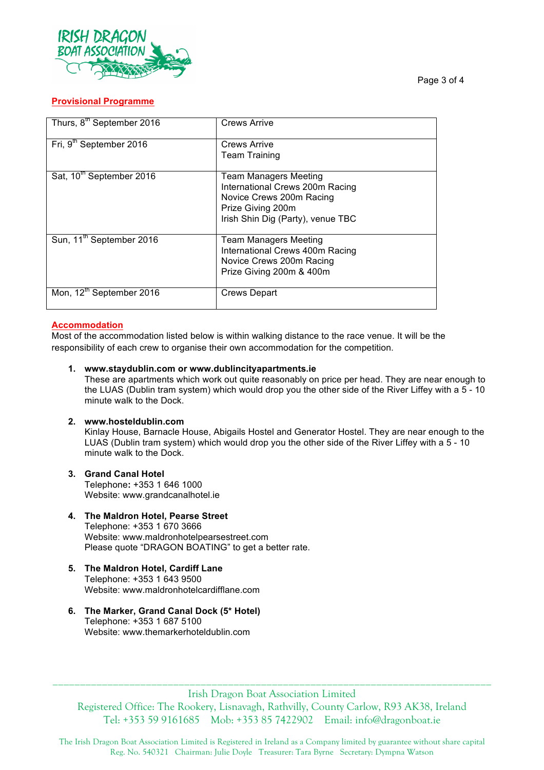

# **Provisional Programme**

| Thurs, 8 <sup>th</sup> September 2016 | <b>Crews Arrive</b>                                                                                                                                   |
|---------------------------------------|-------------------------------------------------------------------------------------------------------------------------------------------------------|
| Fri, 9 <sup>th</sup> September 2016   | <b>Crews Arrive</b><br>Team Training                                                                                                                  |
| Sat, 10 <sup>th</sup> September 2016  | <b>Team Managers Meeting</b><br>International Crews 200m Racing<br>Novice Crews 200m Racing<br>Prize Giving 200m<br>Irish Shin Dig (Party), venue TBC |
| Sun, 11 <sup>th</sup> September 2016  | Team Managers Meeting<br>International Crews 400m Racing<br>Novice Crews 200m Racing<br>Prize Giving 200m & 400m                                      |
| Mon, 12 <sup>th</sup> September 2016  | Crews Depart                                                                                                                                          |

# **Accommodation**

Most of the accommodation listed below is within walking distance to the race venue. It will be the responsibility of each crew to organise their own accommodation for the competition.

**1. www.staydublin.com or www.dublincityapartments.ie**

These are apartments which work out quite reasonably on price per head. They are near enough to the LUAS (Dublin tram system) which would drop you the other side of the River Liffey with a 5 - 10 minute walk to the Dock.

## **2. www.hosteldublin.com**

Kinlay House, Barnacle House, Abigails Hostel and Generator Hostel. They are near enough to the LUAS (Dublin tram system) which would drop you the other side of the River Liffey with a 5 - 10 minute walk to the Dock.

- **3. Grand Canal Hotel**  Telephone**:** +353 1 646 1000 Website: www.grandcanalhotel.ie
- **4. The Maldron Hotel, Pearse Street** Telephone: +353 1 670 3666 Website: www.maldronhotelpearsestreet.com Please quote "DRAGON BOATING" to get a better rate.
- **5. The Maldron Hotel, Cardiff Lane** Telephone: +353 1 643 9500 Website: www.maldronhotelcardifflane.com
- **6. The Marker, Grand Canal Dock (5\* Hotel)** Telephone: +353 1 687 5100 Website: www.themarkerhoteldublin.com

Irish Dragon Boat Association Limited Registered Office: The Rookery, Lisnavagh, Rathvilly, County Carlow, R93 AK38, Ireland Tel: +353 59 9161685 Mob: +353 85 7422902 Email: info@dragonboat.ie

\_\_\_\_\_\_\_\_\_\_\_\_\_\_\_\_\_\_\_\_\_\_\_\_\_\_\_\_\_\_\_\_\_\_\_\_\_\_\_\_\_\_\_\_\_\_\_\_\_\_\_\_\_\_\_\_\_\_\_\_\_\_\_\_\_\_\_\_\_\_\_\_\_\_\_\_\_\_\_\_